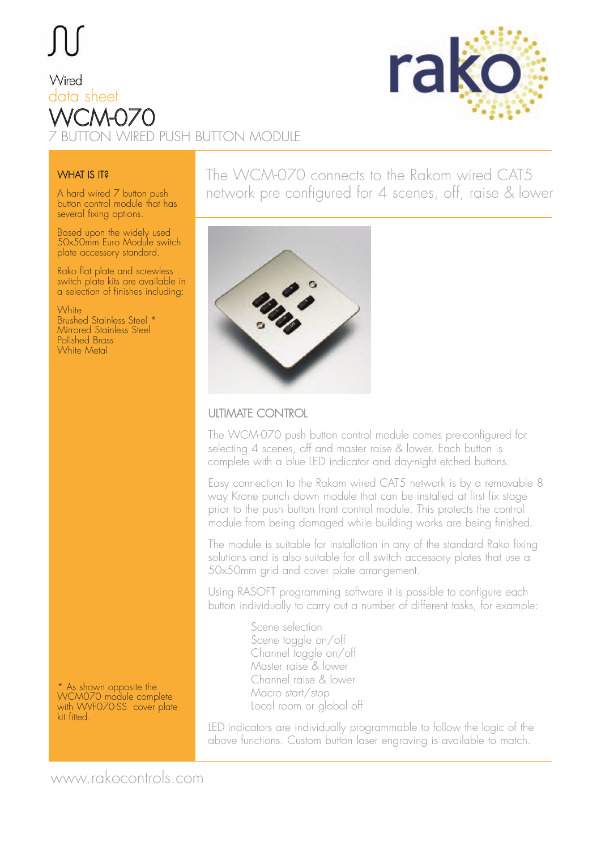# Wired data sheet WCM-070 2 DN WIRED PUSH BUTTON MODULE



#### **WHAT IS IT?**

A hard wired 7 button push button control module that has several fixing options.

Based upon the widely used 50x50mm Euro Module switch plate accessory standard.

Rako flat plate and screwless switch plate kits are available in a selection of finishes including:

**White** Brushed Stainless Steel \* Mirrored Stainless Steel Polished Brass White Metal

\* As shown opposite the WCM070 module complete with WVF070-SS cover plate kit fitted.

### The WCM-070 connects to the Rakom wired CAT5 network pre configured for 4 scenes, off, raise & lower



#### ULTIMATE CONTROL

The WCM-070 push button control module comes pre-configured for selecting 4 scenes, off and master raise & lower. Each button is complete with a blue LED indicator and day-night etched buttons.

Easy connection to the Rakom wired CAT5 network is by a removable 8 way Krone punch down module that can be installed at first fix stage prior to the push button front control module. This protects the control module from being damaged while building works are being finished.

The module is suitable for installation in any of the standard Rako fixing solutions and is also suitable for all switch accessory plates that use a 50x50mm grid and cover plate arrangement.

Using RASOFT programming software it is possible to configure each button individually to carry out a number of different tasks, for example:

> Scene selection Scene toggle on/off Channel toggle on/off Master raise & lower Channel raise & lower Macro start/stop Local room or global off

LED indicators are individually programmable to follow the logic of the above functions. Custom button laser engraving is available to match.